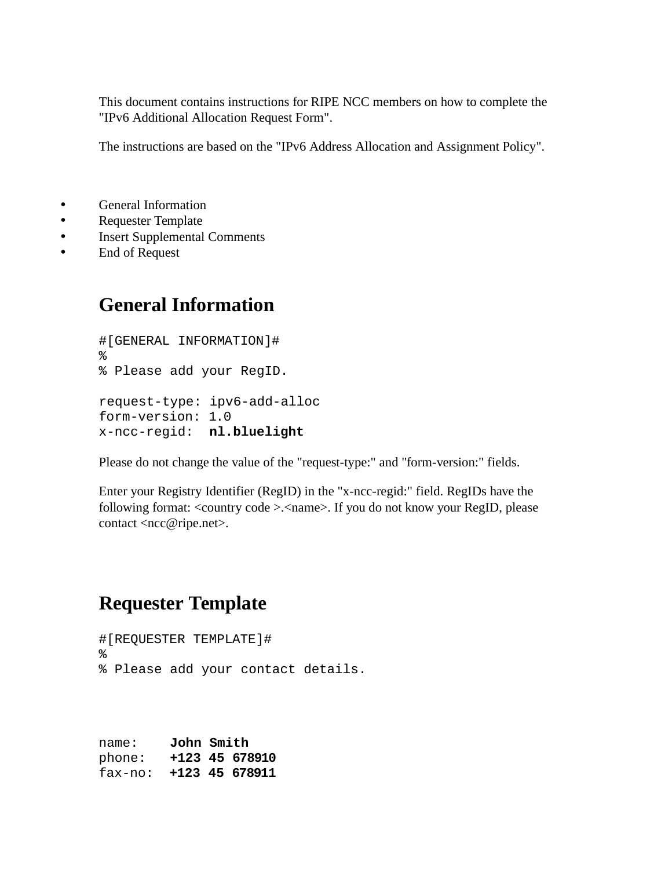This document contains instructions for RIPE NCC members on how to complete the "IPv6 Additional Allocation Request Form".

The instructions are based on the "IPv6 Address Allocation and Assignment Policy".

- General Information
- Requester Template
- Insert Supplemental Comments
- End of Request

## **General Information**

#[GENERAL INFORMATION]#  $\epsilon$ % Please add your RegID. request-type: ipv6-add-alloc form-version: 1.0 x-ncc-regid: **nl.bluelight**

Please do not change the value of the "request-type:" and "form-version:" fields.

Enter your Registry Identifier (RegID) in the "x-ncc-regid:" field. RegIDs have the following format: <country code >.<name>. If you do not know your RegID, please contact <ncc@ripe.net>.

## **Requester Template**

```
#[REQUESTER TEMPLATE]#
%
% Please add your contact details.
```
name: **John Smith** phone: **+123 45 678910** fax-no: **+123 45 678911**